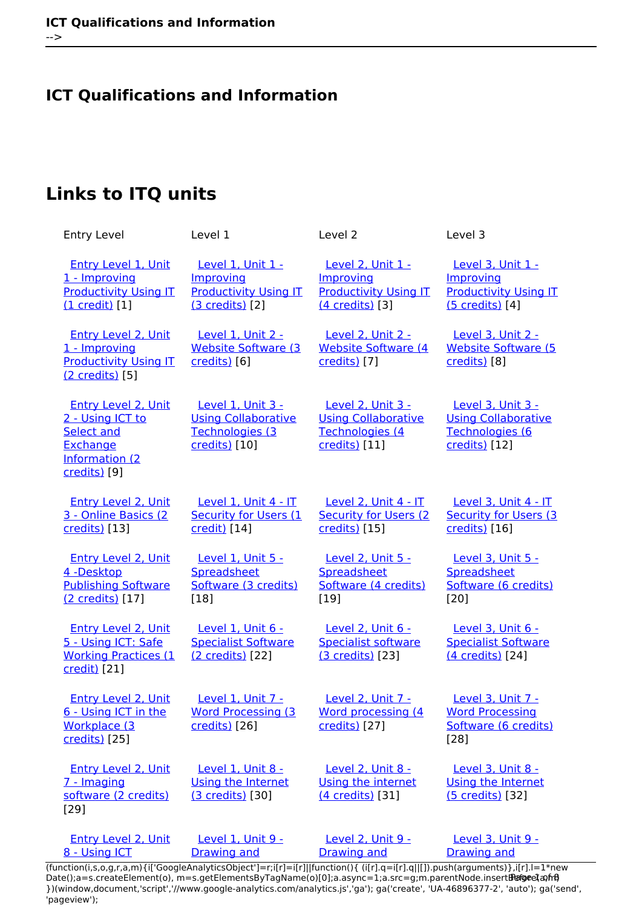## **ICT Qualifications and Information**

# **Links to ITQ units**

| <b>Entry Level</b>                                                                                          | Level 1                                                                             | Level 2                                                                             | Level 3                                                                             |
|-------------------------------------------------------------------------------------------------------------|-------------------------------------------------------------------------------------|-------------------------------------------------------------------------------------|-------------------------------------------------------------------------------------|
| <b>Entry Level 1, Unit</b><br>1 - Improving<br><b>Productivity Using IT</b><br>$(1 \text{ credit})$ [1]     | Level 1, Unit 1 -<br>Improving<br><b>Productivity Using IT</b><br>(3 credits) [2]   | Level 2, Unit 1 -<br>Improving<br><b>Productivity Using IT</b><br>(4 credits) [3]   | Level 3, Unit 1 -<br>Improving<br><b>Productivity Using IT</b><br>(5 credits) [4]   |
| <b>Entry Level 2, Unit</b><br>1 - Improving<br><b>Productivity Using IT</b><br>(2 credits) [5]              | <b>Level 1, Unit 2 -</b><br><b>Website Software (3)</b><br>credits) [6]             | <b>Level 2, Unit 2 -</b><br><b>Website Software (4)</b><br>credits) [7]             | Level 3, Unit 2 -<br><b>Website Software (5)</b><br>credits) [8]                    |
| <b>Entry Level 2, Unit</b><br>2 - Using ICT to<br>Select and<br>Exchange<br>Information (2)<br>credits) [9] | Level 1, Unit 3 -<br><b>Using Collaborative</b><br>Technologies (3<br>credits) [10] | Level 2, Unit 3 -<br><b>Using Collaborative</b><br>Technologies (4<br>credits) [11] | Level 3, Unit 3 -<br><b>Using Collaborative</b><br>Technologies (6<br>credits) [12] |
| <b>Entry Level 2, Unit</b><br>3 - Online Basics (2<br>credits) [13]                                         | Level 1, Unit 4 - IT<br><b>Security for Users (1</b><br>credit) [14]                | Level 2, Unit 4 - IT<br><b>Security for Users (2)</b><br>credits) [15]              | Level 3, Unit 4 - IT<br><b>Security for Users (3)</b><br>credits) [16]              |
| <b>Entry Level 2, Unit</b><br>4 -Desktop<br><b>Publishing Software</b><br>(2 credits) [17]                  | <b>Level 1, Unit 5 -</b><br>Spreadsheet<br>Software (3 credits)<br>$[18]$           | <b>Level 2, Unit 5 -</b><br>Spreadsheet<br>Software (4 credits)<br>$[19]$           | Level 3, Unit 5 -<br>Spreadsheet<br>Software (6 credits)<br>[20]                    |
| Entry Level 2, Unit<br>5 - Using ICT: Safe<br><b>Working Practices (1</b><br>credit) [21]                   | Level 1, Unit 6 -<br><b>Specialist Software</b><br>(2 credits) [22]                 | Level 2, Unit 6 -<br><b>Specialist software</b><br>(3 credits) [23]                 | Level 3, Unit 6 -<br><b>Specialist Software</b><br>(4 credits) [24]                 |
| <b>Entry Level 2, Unit</b><br>6 - Using ICT in the<br>Workplace (3<br>credits) [25]                         | Level 1, Unit 7 -<br><b>Word Processing (3)</b><br>credits) [26]                    | Level 2, Unit 7 -<br>Word processing (4<br>credits) [27]                            | Level 3, Unit 7 -<br><b>Word Processing</b><br>Software (6 credits)<br>$[28]$       |
| <b>Entry Level 2, Unit</b><br>7 - Imaging<br>software (2 credits)<br>$[29]$                                 | Level 1, Unit 8 -<br>Using the Internet<br>(3 credits) [30]                         | Level 2, Unit 8 -<br>Using the internet<br>(4 credits) [31]                         | Level 3, Unit 8 -<br>Using the Internet<br>(5 credits) [32]                         |
| <b>Entry Level 2, Unit</b><br>8 - Using ICT                                                                 | <b>Level 1. Unit 9 -</b><br><b>Drawing and</b>                                      | Level 2, Unit 9 -<br><b>Drawing and</b>                                             | Level 3, Unit 9 -<br><b>Drawing and</b>                                             |

[\(function\(i,s,o,g,r,a,m\){i\['GoogleAnalyticsObject'\]=r;i\[r\]=i\[r\]||function\(\){ \(i\[r\].q=i\[r\].q||\[\]\).push\(arguments\)},i\[r\].l=1\\*new](https://theingots.org/community/siel2u8) Date();a=s.createElement(o), m=s.getElementsByTagName(o)[0];a.async=1;a.src=g;m.parentNode.insert**Bෂ@e**e(a,mff) [}\)\(window,document,'script','//www.google-analytics.com/analytics.js','ga'\); ga\('create', 'UA-46896377-2', 'auto'\); ga\('send',](https://theingots.org/community/siel2u8) ['pageview'\);](https://theingots.org/community/siel2u8) Paggreela, frif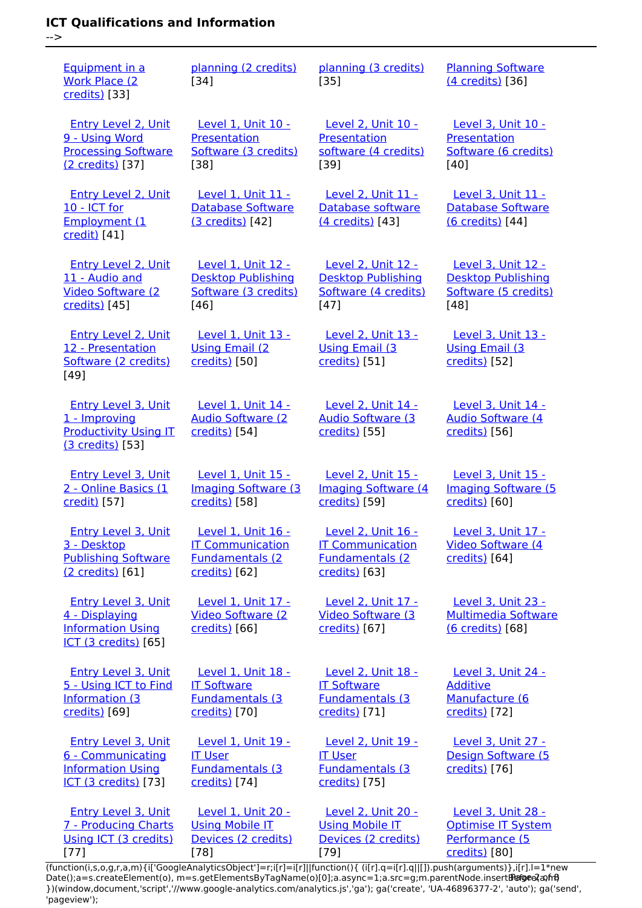### **ICT Qualifications and Information**

-->

[77]

[Equipment in a](https://theingots.org/community/siel2u8) [Work Place \(2](https://theingots.org/community/siel2u8) [credits\)](https://theingots.org/community/siel2u8) [33] [planning \(2 credits\)](https://theingots.org/community/sil1u9) [34] [planning \(3 credits\)](https://theingots.org/community/sil2u9) [35] [Planning Software](https://theingots.org/community/sil3u9) [\(4 credits\)](https://theingots.org/community/sil3u9) [36] [Entry Level 2, Unit](https://theingots.org/community/siel2u9) [9 - Using Word](https://theingots.org/community/siel2u9) [Processing Software](https://theingots.org/community/siel2u9) [\(2 credits\)](https://theingots.org/community/siel2u9) [37] [Level 1, Unit 10 -](https://theingots.org/community/sil1u10) [Presentation](https://theingots.org/community/sil1u10) [Software \(3 credits\)](https://theingots.org/community/sil1u10) [38] [Level 2, Unit 10 -](https://theingots.org/community/sil2u10) [Presentation](https://theingots.org/community/sil2u10) [software \(4 credits\)](https://theingots.org/community/sil2u10) [39] [Level 3, Unit 10 -](https://theingots.org/community/sil3u10) [Presentation](https://theingots.org/community/sil3u10) [Software \(6 credits\)](https://theingots.org/community/sil3u10) [40] [Entry Level 2, Unit](https://theingots.org/community/siel2u10) [10 - ICT for](https://theingots.org/community/siel2u10) [Employment \(1](https://theingots.org/community/siel2u10) [credit\)](https://theingots.org/community/siel2u10) [41] [Level 1, Unit 11 -](https://theingots.org/community/sil1u11) [Database Software](https://theingots.org/community/sil1u11) [\(3 credits\)](https://theingots.org/community/sil1u11) [42] [Level 2, Unit 11 -](https://theingots.org/community/sil2u11) [Database software](https://theingots.org/community/sil2u11) [\(4 credits\)](https://theingots.org/community/sil2u11) [43] [Level 3, Unit 11 -](https://theingots.org/community/sil3u11) [Database Software](https://theingots.org/community/sil3u11) [\(6 credits\)](https://theingots.org/community/sil3u11) [44] [Entry Level 2, Unit](https://theingots.org/community/siel2u11) [11 - Audio and](https://theingots.org/community/siel2u11) [Video Software \(2](https://theingots.org/community/siel2u11) [credits\)](https://theingots.org/community/siel2u11) [45] [Level 1, Unit 12 -](https://theingots.org/community/sil1u12) [Desktop Publishing](https://theingots.org/community/sil1u12) [Software \(3 credits\)](https://theingots.org/community/sil1u12) [46] [Level 2, Unit 12 -](https://theingots.org/community/sil2u12) [Desktop Publishing](https://theingots.org/community/sil2u12) [Software \(4 credits\)](https://theingots.org/community/sil2u12) [47] [Level 3, Unit 12 -](https://theingots.org/community/sil3u12) [Desktop Publishing](https://theingots.org/community/sil3u12) [Software \(5 credits\)](https://theingots.org/community/sil3u12) [48] [Entry Level 2, Unit](https://theingots.org/community/siel2u12) [12 - Presentation](https://theingots.org/community/siel2u12) [Software \(2 credits\)](https://theingots.org/community/siel2u12) [49] [Level 1, Unit 13 -](https://theingots.org/community/sil1u13) [Using Email \(2](https://theingots.org/community/sil1u13) [credits\)](https://theingots.org/community/sil1u13) [50] [Level 2, Unit 13 -](https://theingots.org/community/sil2u13) [Using Email \(3](https://theingots.org/community/sil2u13) [credits\)](https://theingots.org/community/sil2u13) [51] [Level 3, Unit 13 -](https://theingots.org/community/sil3u13) [Using Email \(3](https://theingots.org/community/sil3u13) [credits\)](https://theingots.org/community/sil3u13) [52] [Entry Level 3, Unit](https://theingots.org/community/siel3u1) [1 - Improving](https://theingots.org/community/siel3u1) [Productivity Using IT](https://theingots.org/community/siel3u1) [\(3 credits\)](https://theingots.org/community/siel3u1) [53] [Level 1, Unit 14 -](https://theingots.org/community/sil1U14) [Audio Software \(2](https://theingots.org/community/sil1U14) [credits\)](https://theingots.org/community/sil1U14) [54] [Level 2, Unit 14 -](https://theingots.org/community/sil2u14) [Audio Software \(3](https://theingots.org/community/sil2u14) [credits\)](https://theingots.org/community/sil2u14) [55] [Level 3, Unit 14 -](https://theingots.org/community/sil3u14) [Audio Software \(4](https://theingots.org/community/sil3u14) [credits\)](https://theingots.org/community/sil3u14) [56] [Entry Level 3, Unit](https://theingots.org/community/siel3u2) [2 - Online Basics \(1](https://theingots.org/community/siel3u2) [credit\)](https://theingots.org/community/siel3u2) [57] [Level 1, Unit 15 -](https://theingots.org/community/sil1u15) [Imaging Software \(3](https://theingots.org/community/sil1u15) [credits\)](https://theingots.org/community/sil1u15) [58] [Level 2, Unit 15 -](https://theingots.org/community/sil2u15) [Imaging Software \(4](https://theingots.org/community/sil2u15) [credits\)](https://theingots.org/community/sil2u15) [59] [Level 3, Unit 15 -](https://theingots.org/community/sil3u15) [Imaging Software \(5](https://theingots.org/community/sil3u15) [credits\)](https://theingots.org/community/sil3u15) [60] [Entry Level 3, Unit](https://theingots.org/community/siel3u3) [3 - Desktop](https://theingots.org/community/siel3u3) [Publishing Software](https://theingots.org/community/siel3u3) [\(2 credits\)](https://theingots.org/community/siel3u3) [61] [Level 1, Unit 16 -](https://theingots.org/community/sil1u16) [IT Communication](https://theingots.org/community/sil1u16) [Fundamentals \(2](https://theingots.org/community/sil1u16) [credits\)](https://theingots.org/community/sil1u16) [62] [Level 2, Unit 16 -](https://theingots.org/community/sil2u16) [IT Communication](https://theingots.org/community/sil2u16) [Fundamentals \(2](https://theingots.org/community/sil2u16) [credits\)](https://theingots.org/community/sil2u16) [63] [Level 3, Unit 17 -](https://theingots.org/community/sil3u17) [Video Software \(4](https://theingots.org/community/sil3u17) [credits\)](https://theingots.org/community/sil3u17) [64] [Entry Level 3, Unit](https://theingots.org/community/siel3u_noprogression_1169) [4 - Displaying](https://theingots.org/community/siel3u_noprogression_1169) [Information Using](https://theingots.org/community/siel3u_noprogression_1169) [ICT \(3 credits\)](https://theingots.org/community/siel3u_noprogression_1169) [65] [Level 1, Unit 17 -](https://theingots.org/community/sil1u17) [Video Software \(2](https://theingots.org/community/sil1u17) [credits\)](https://theingots.org/community/sil1u17) [66] [Level 2, Unit 17 -](https://theingots.org/community/sil2u17) [Video Software \(3](https://theingots.org/community/sil2u17) [credits\)](https://theingots.org/community/sil2u17) [67] [Level 3, Unit 23 -](https://theingots.org/community/sil3u23) [Multimedia Software](https://theingots.org/community/sil3u23) [\(6 credits\)](https://theingots.org/community/sil3u23) [68] [Entry Level 3, Unit](https://theingots.org/community/siel3u5) [5 - Using ICT to Find](https://theingots.org/community/siel3u5) [Information \(3](https://theingots.org/community/siel3u5) [credits\)](https://theingots.org/community/siel3u5) [69] [Level 1, Unit 18 -](https://theingots.org/community/sil1u18) [IT Software](https://theingots.org/community/sil1u18) [Fundamentals \(3](https://theingots.org/community/sil1u18) [credits\)](https://theingots.org/community/sil1u18) [70] [Level 2, Unit 18 -](https://theingots.org/community/sil2u18) [IT Software](https://theingots.org/community/sil2u18) [Fundamentals \(3](https://theingots.org/community/sil2u18) [credits\)](https://theingots.org/community/sil2u18) [71] [Level 3, Unit 24 -](https://theingots.org/community/sil3u24) [Additive](https://theingots.org/community/sil3u24) [Manufacture \(6](https://theingots.org/community/sil3u24) [credits\)](https://theingots.org/community/sil3u24) [72] [Entry Level 3, Unit](https://theingots.org/community/siel3u6) [6 - Communicating](https://theingots.org/community/siel3u6) [Information Using](https://theingots.org/community/siel3u6) [ICT \(3 credits\)](https://theingots.org/community/siel3u6) [73] [Level 1, Unit 19 -](https://theingots.org/community/sil1u19) [IT User](https://theingots.org/community/sil1u19) [Fundamentals \(3](https://theingots.org/community/sil1u19) [credits\)](https://theingots.org/community/sil1u19) [74] [Level 2, Unit 19 -](https://theingots.org/community/sil2u19) [IT User](https://theingots.org/community/sil2u19) [Fundamentals \(3](https://theingots.org/community/sil2u19) [credits\)](https://theingots.org/community/sil2u19) [75] [Level 3, Unit 27 -](https://theingots.org/community/sil3u27) [Design Software \(5](https://theingots.org/community/sil3u27) [credits\)](https://theingots.org/community/sil3u27) [76] [Entry Level 3, Unit](https://theingots.org/community/siel3u7) [7 - Producing Charts](https://theingots.org/community/siel3u7) [Using ICT \(3 credits\)](https://theingots.org/community/siel3u7) [Level 1, Unit 20 -](https://theingots.org/community/sil1u20) **[Using Mobile IT](https://theingots.org/community/sil1u20)** [Devices \(2 credits\)](https://theingots.org/community/sil1u20) [Level 2, Unit 20 -](https://theingots.org/community/sil2u20) [Using Mobile IT](https://theingots.org/community/sil2u20) [Devices \(2 credits\)](https://theingots.org/community/sil2u20) [Level 3, Unit 28 -](https://theingots.org/community/sil3U28) [Optimise IT System](https://theingots.org/community/sil3U28) [Performance \(5](https://theingots.org/community/sil3U28)

(function(i,s,o,g,r,a,m){i['GoogleAnalyticsObject']=r;i[r]=i[r]||function(){ (i[r].q=i[r].q||[]).push(arguments)},i[r].l=1\*new Date();a=s.createElement(o), m=s.getElementsByTagName(o)[0];a.async=1;a.src=g;m.parentNode.insertBහ@eේ a,mff} })(window,document,'script','//www.google-analytics.com/analytics.js','ga'); ga('create', 'UA-46896377-2', 'auto'); ga('send', 'pageview');

[79]

[credits\)](https://theingots.org/community/sil3U28) [80]

[78]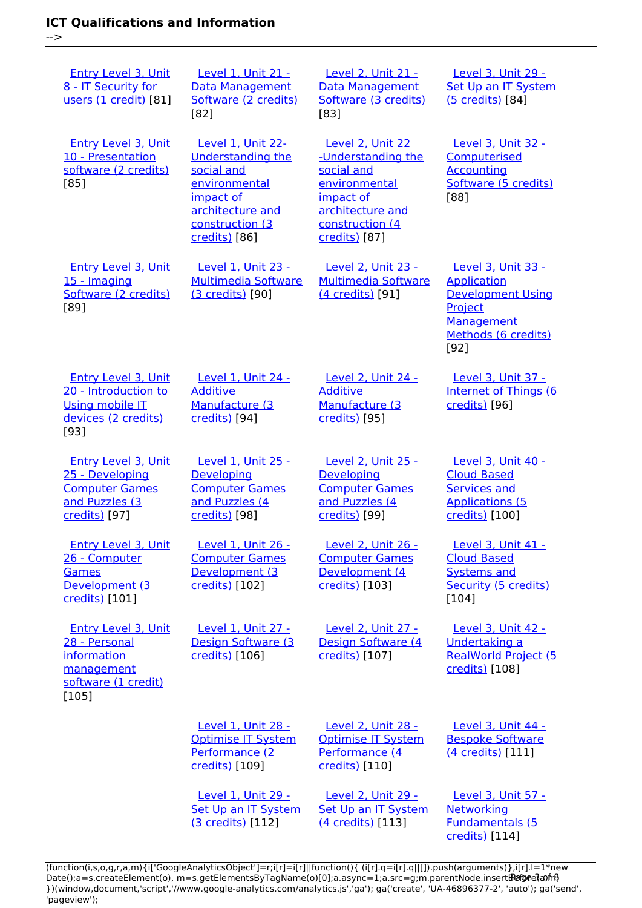-->

 [Entry Level 3, Unit](https://theingots.org/community/siel3u4) [8 - IT Security for](https://theingots.org/community/siel3u4) [users \(1 credit\)](https://theingots.org/community/siel3u4) [81] [Level 1, Unit 21 -](https://theingots.org/community/sil1u21) [Data Management](https://theingots.org/community/sil1u21) [Software \(2 credits\)](https://theingots.org/community/sil1u21) [82] [Level 2, Unit 21 -](https://theingots.org/community/sil2u21) [Data Management](https://theingots.org/community/sil2u21) [Software \(3 credits\)](https://theingots.org/community/sil2u21) [83] [Level 3, Unit 29 -](https://theingots.org/community/sil3u29) [Set Up an IT System](https://theingots.org/community/sil3u29) [\(5 credits\)](https://theingots.org/community/sil3u29) [84] [Entry Level 3, Unit](https://theingots.org/community/siel3u10) [10 - Presentation](https://theingots.org/community/siel3u10) [software \(2 credits\)](https://theingots.org/community/siel3u10) [85] [Level 1, Unit 22-](https://theingots.org/community/sil1u22) [Understanding the](https://theingots.org/community/sil1u22) [social and](https://theingots.org/community/sil1u22) [environmental](https://theingots.org/community/sil1u22) [impact of](https://theingots.org/community/sil1u22) [architecture and](https://theingots.org/community/sil1u22) [construction \(3](https://theingots.org/community/sil1u22) [credits\)](https://theingots.org/community/sil1u22) [86] [Level 2, Unit 22](https://theingots.org/community/sil2u22) [-Understanding the](https://theingots.org/community/sil2u22) [social and](https://theingots.org/community/sil2u22) [environmental](https://theingots.org/community/sil2u22) [impact of](https://theingots.org/community/sil2u22) [architecture and](https://theingots.org/community/sil2u22) [construction \(4](https://theingots.org/community/sil2u22) [credits\)](https://theingots.org/community/sil2u22) [87] [Level 3, Unit 32 -](https://theingots.org/community/sil3u32) **[Computerised](https://theingots.org/community/sil3u32)** [Accounting](https://theingots.org/community/sil3u32) [Software \(5 credits\)](https://theingots.org/community/sil3u32) [88] [Entry Level 3, Unit](https://theingots.org/community/siel3u15) [15 - Imaging](https://theingots.org/community/siel3u15) [Software \(2 credits\)](https://theingots.org/community/siel3u15) [89] [Level 1, Unit 23 -](https://theingots.org/community/sil1u23) [Multimedia Software](https://theingots.org/community/sil1u23) [\(3 credits\)](https://theingots.org/community/sil1u23) [90] [Level 2, Unit 23 -](https://theingots.org/community/sil2u23) [Multimedia Software](https://theingots.org/community/sil2u23) [\(4 credits\)](https://theingots.org/community/sil2u23) [91] [Level 3, Unit 33 -](https://theingots.org/community/sil3u33) [Application](https://theingots.org/community/sil3u33) [Development Using](https://theingots.org/community/sil3u33) **[Project](https://theingots.org/community/sil3u33)** [Management](https://theingots.org/community/sil3u33) [Methods \(6 credits\)](https://theingots.org/community/sil3u33) [92] [Entry Level 3, Unit](https://theingots.org/community/siel3u20) [20 - Introduction to](https://theingots.org/community/siel3u20) [Using mobile IT](https://theingots.org/community/siel3u20) [devices \(2 credits\)](https://theingots.org/community/siel3u20) [93] [Level 1, Unit 24 -](https://theingots.org/community/sil1u24) [Additive](https://theingots.org/community/sil1u24) [Manufacture \(3](https://theingots.org/community/sil1u24) [credits\)](https://theingots.org/community/sil1u24) [94] [Level 2, Unit 24 -](https://theingots.org/community/sil2u24) [Additive](https://theingots.org/community/sil2u24) [Manufacture \(3](https://theingots.org/community/sil2u24) [credits\)](https://theingots.org/community/sil2u24) [95] [Level 3, Unit 37 -](https://theingots.org/community/sil3u37) [Internet of Things \(6](https://theingots.org/community/sil3u37) [credits\)](https://theingots.org/community/sil3u37) [96] [Entry Level 3, Unit](https://theingots.org/community/siel3u25) [25 - Developing](https://theingots.org/community/siel3u25) [Computer Games](https://theingots.org/community/siel3u25) [and Puzzles \(3](https://theingots.org/community/siel3u25) [credits\)](https://theingots.org/community/siel3u25) [97] [Level 1, Unit 25 -](https://theingots.org/community/sil1u25) **[Developing](https://theingots.org/community/sil1u25)** [Computer Games](https://theingots.org/community/sil1u25) [and Puzzles \(4](https://theingots.org/community/sil1u25) [credits\)](https://theingots.org/community/sil1u25) [98] [Level 2, Unit 25 -](https://theingots.org/community/sil2u25) **[Developing](https://theingots.org/community/sil2u25)** [Computer Games](https://theingots.org/community/sil2u25) [and Puzzles \(4](https://theingots.org/community/sil2u25) [credits\)](https://theingots.org/community/sil2u25) [99] [Level 3, Unit 40 -](https://theingots.org/community/sil3u40) [Cloud Based](https://theingots.org/community/sil3u40) [Services and](https://theingots.org/community/sil3u40) [Applications \(5](https://theingots.org/community/sil3u40) [credits\)](https://theingots.org/community/sil3u40) [100] [Entry Level 3, Unit](https://theingots.org/community/siel3u26) [26 - Computer](https://theingots.org/community/siel3u26) **[Games](https://theingots.org/community/siel3u26)** [Development \(3](https://theingots.org/community/siel3u26) [credits\)](https://theingots.org/community/siel3u26) [101] [Level 1, Unit 26 -](https://theingots.org/community/sil1u26) [Computer Games](https://theingots.org/community/sil1u26) [Development \(3](https://theingots.org/community/sil1u26) [credits\)](https://theingots.org/community/sil1u26) [102] [Level 2, Unit 26 -](https://theingots.org/community/sil2u26) [Computer Games](https://theingots.org/community/sil2u26) [Development \(4](https://theingots.org/community/sil2u26) [credits\)](https://theingots.org/community/sil2u26) [103] [Level 3, Unit 41 -](https://theingots.org/community/sil3u41) [Cloud Based](https://theingots.org/community/sil3u41) [Systems and](https://theingots.org/community/sil3u41) [Security \(5 credits\)](https://theingots.org/community/sil3u41) [104] [Entry Level 3, Unit](https://theingots.org/community/siel3u28) [28 - Personal](https://theingots.org/community/siel3u28) [information](https://theingots.org/community/siel3u28) [management](https://theingots.org/community/siel3u28) [software \(1 credit\)](https://theingots.org/community/siel3u28) [105] [Level 1, Unit 27 -](https://theingots.org/community/sil1u27) [Design Software \(3](https://theingots.org/community/sil1u27) [credits\)](https://theingots.org/community/sil1u27) [106] [Level 2, Unit 27 -](https://theingots.org/community/sil2u27) [Design Software \(4](https://theingots.org/community/sil2u27) [credits\)](https://theingots.org/community/sil2u27) [107] [Level 3, Unit 42 -](https://theingots.org/community/sil3u42) [Undertaking a](https://theingots.org/community/sil3u42) [RealWorld Project \(5](https://theingots.org/community/sil3u42) [credits\)](https://theingots.org/community/sil3u42) [108] [Level 1, Unit 28 -](https://theingots.org/community/sil1u28) [Optimise IT System](https://theingots.org/community/sil1u28) [Performance \(2](https://theingots.org/community/sil1u28) [credits\)](https://theingots.org/community/sil1u28) [109] [Level 2, Unit 28 -](https://theingots.org/community/sil2u28) [Optimise IT System](https://theingots.org/community/sil2u28) [Performance \(4](https://theingots.org/community/sil2u28) [credits\)](https://theingots.org/community/sil2u28) [110] [Level 3, Unit 44 -](https://theingots.org/community/sil3u44) [Bespoke Software](https://theingots.org/community/sil3u44) [\(4 credits\)](https://theingots.org/community/sil3u44) [111] [Level 1, Unit 29 -](https://theingots.org/community/sil1u29) [Set Up an IT System](https://theingots.org/community/sil1u29) [Level 2, Unit 29 -](https://theingots.org/community/sil2u29) [Set Up an IT System](https://theingots.org/community/sil2u29) [Level 3, Unit 57 -](https://theingots.org/community/sil3u57) **[Networking](https://theingots.org/community/sil3u57)** 

(function(i,s,o,g,r,a,m){i['GoogleAnalyticsObject']=r;i[r]=i[r]||function(){ (i[r].q=i[r].q||[]).push(arguments)},i[r].l=1\*new Date();a=s.createElement(o), m=s.getElementsByTagName(o)[0];a.async=1;a.src=g;m.parentNode.insertBeforea?a,fn9 })(window,document,'script','//www.google-analytics.com/analytics.js','ga'); ga('create', 'UA-46896377-2', 'auto'); ga('send', 'pageview');

[\(4 credits\)](https://theingots.org/community/sil2u29) [113]

[Fundamentals \(5](https://theingots.org/community/sil3u57) [credits\)](https://theingots.org/community/sil3u57) [114]

[\(3 credits\)](https://theingots.org/community/sil1u29) [112]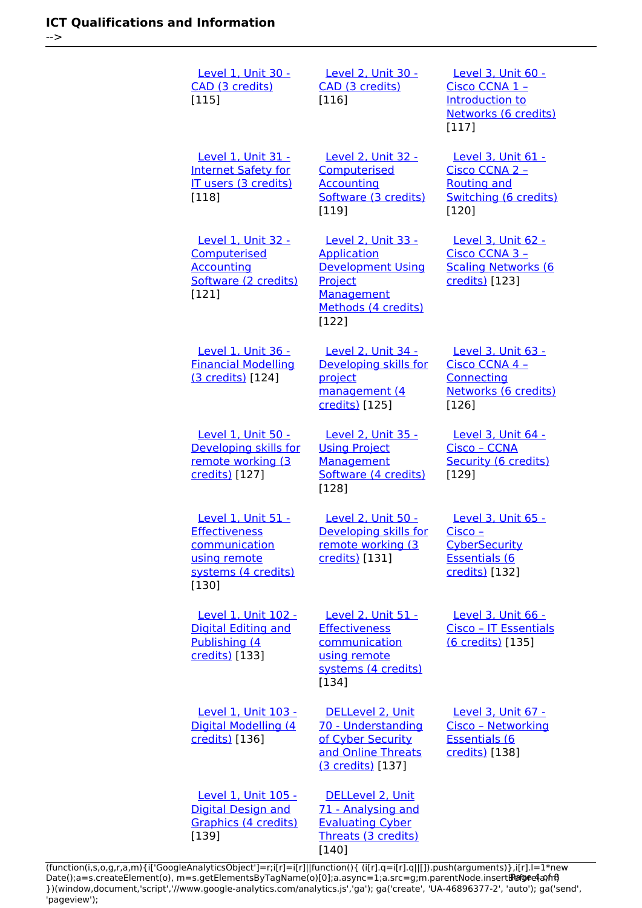[Level 1, Unit 30 -](https://theingots.org/community/sil1u30) [CAD \(3 credits\)](https://theingots.org/community/sil1u30) [115] [Level 2, Unit 30 -](https://theingots.org/community/sil2u30) [CAD \(3 credits\)](https://theingots.org/community/sil2u30) [116] [Level 3, Unit 60 -](https://theingots.org/community/sil3u60) [Cisco CCNA 1 –](https://theingots.org/community/sil3u60) [Introduction to](https://theingots.org/community/sil3u60) [Networks \(6 credits\)](https://theingots.org/community/sil3u60) [117] [Level 1, Unit 31 -](https://theingots.org/community/sil1u31) [Internet Safety for](https://theingots.org/community/sil1u31) [IT users \(3 credits\)](https://theingots.org/community/sil1u31) [118] [Level 2, Unit 32 -](https://theingots.org/community/sil2u32) **[Computerised](https://theingots.org/community/sil2u32) [Accounting](https://theingots.org/community/sil2u32)** [Software \(3 credits\)](https://theingots.org/community/sil2u32) [119] [Level 3, Unit 61 -](https://theingots.org/community/sil3u61) [Cisco CCNA 2 –](https://theingots.org/community/sil3u61) [Routing and](https://theingots.org/community/sil3u61) [Switching \(6 credits\)](https://theingots.org/community/sil3u61) [120] [Level 1, Unit 32 -](https://theingots.org/community/sil1u32) **[Computerised](https://theingots.org/community/sil1u32)** [Accounting](https://theingots.org/community/sil1u32) [Software \(2 credits\)](https://theingots.org/community/sil1u32) [121] [Level 2, Unit 33 -](https://theingots.org/community/sil2u33) **[Application](https://theingots.org/community/sil2u33)** [Development Using](https://theingots.org/community/sil2u33) [Project](https://theingots.org/community/sil2u33) **[Management](https://theingots.org/community/sil2u33)** [Methods \(4 credits\)](https://theingots.org/community/sil2u33) [122] [Level 3, Unit 62 -](https://theingots.org/community/sil3u62) [Cisco CCNA 3 –](https://theingots.org/community/sil3u62) [Scaling Networks \(6](https://theingots.org/community/sil3u62) [credits\)](https://theingots.org/community/sil3u62) [123] [Level 1, Unit 36 -](https://theingots.org/community/sil1u36) [Financial Modelling](https://theingots.org/community/sil1u36) [\(3 credits\)](https://theingots.org/community/sil1u36) [124] [Level 2, Unit 34 -](https://theingots.org/community/sil2u34) [Developing skills for](https://theingots.org/community/sil2u34) [project](https://theingots.org/community/sil2u34) [management \(4](https://theingots.org/community/sil2u34) [credits\)](https://theingots.org/community/sil2u34) [125] [Level 3, Unit 63 -](https://theingots.org/community/sil3u63) [Cisco CCNA 4 –](https://theingots.org/community/sil3u63) **[Connecting](https://theingots.org/community/sil3u63)** [Networks \(6 credits\)](https://theingots.org/community/sil3u63) [126] [Level 1, Unit 50 -](https://theingots.org/community/sil1u50) [Developing skills for](https://theingots.org/community/sil1u50) [remote working \(3](https://theingots.org/community/sil1u50) [credits\)](https://theingots.org/community/sil1u50) [127] [Level 2, Unit 35 -](https://theingots.org/community/sil2u35) [Using Project](https://theingots.org/community/sil2u35) **[Management](https://theingots.org/community/sil2u35)** [Software \(4 credits\)](https://theingots.org/community/sil2u35) [128] [Level 3, Unit 64 -](https://theingots.org/community/sil3u64) [Cisco – CCNA](https://theingots.org/community/sil3u64) [Security \(6 credits\)](https://theingots.org/community/sil3u64) [129] [Level 1, Unit 51 -](https://theingots.org/community/sil1u51) **[Effectiveness](https://theingots.org/community/sil1u51)** [communication](https://theingots.org/community/sil1u51) [using remote](https://theingots.org/community/sil1u51) [systems \(4 credits\)](https://theingots.org/community/sil1u51) [130] [Level 2, Unit 50 -](https://theingots.org/community/sil2u50) [Developing skills for](https://theingots.org/community/sil2u50) [remote working \(3](https://theingots.org/community/sil2u50) [credits\)](https://theingots.org/community/sil2u50) [131] [Level 3, Unit 65 -](https://theingots.org/community/sil3u65) [Cisco –](https://theingots.org/community/sil3u65) **[CyberSecurity](https://theingots.org/community/sil3u65)** [Essentials \(6](https://theingots.org/community/sil3u65) [credits\)](https://theingots.org/community/sil3u65) [132] [Level 1, Unit 102 -](https://theingots.org/community/sil1u102) [Digital Editing and](https://theingots.org/community/sil1u102) [Publishing \(4](https://theingots.org/community/sil1u102) [credits\)](https://theingots.org/community/sil1u102) [133] [Level 2, Unit 51 -](https://theingots.org/community/sil2u51) **[Effectiveness](https://theingots.org/community/sil2u51)** [communication](https://theingots.org/community/sil2u51) [using remote](https://theingots.org/community/sil2u51) [systems \(4 credits\)](https://theingots.org/community/sil2u51) [134] [Level 3, Unit 66 -](https://theingots.org/community/sil3u66) [Cisco – IT Essentials](https://theingots.org/community/sil3u66) [\(6 credits\)](https://theingots.org/community/sil3u66) [135] [Level 1, Unit 103 -](https://theingots.org/community/sil1u103) [Digital Modelling \(4](https://theingots.org/community/sil1u103) [credits\)](https://theingots.org/community/sil1u103) [136] [DELLevel 2, Unit](https://theingots.org/community/sil2u70) [70 - Understanding](https://theingots.org/community/sil2u70) [of Cyber Security](https://theingots.org/community/sil2u70) [and Online Threats](https://theingots.org/community/sil2u70) [\(3 credits\)](https://theingots.org/community/sil2u70) [137] [Level 3, Unit 67 -](https://theingots.org/community/sil3u67) [Cisco – Networking](https://theingots.org/community/sil3u67) [Essentials \(6](https://theingots.org/community/sil3u67) [credits\)](https://theingots.org/community/sil3u67) [138] [Level 1, Unit 105 -](https://theingots.org/community/sil1u105) [Digital Design and](https://theingots.org/community/sil1u105) [Graphics \(4 credits\)](https://theingots.org/community/sil1u105) [DELLevel 2, Unit](https://theingots.org/community/sil2u71) [71 - Analysing and](https://theingots.org/community/sil2u71) [Evaluating Cyber](https://theingots.org/community/sil2u71)

(function(i,s,o,g,r,a,m){i['GoogleAnalyticsObject']=r;i[r]=i[r]||function(){ (i[r].q=i[r].q||[]).push(arguments)},i[r].l=1\*new Date();a=s.createElement(o), m=s.getElementsByTagName(o)[0];a.async=1;a.src=g;m.parentNode.insertBහ@e4aภfrអ៊ី })(window,document,'script','//www.google-analytics.com/analytics.js','ga'); ga('create', 'UA-46896377-2', 'auto'); ga('send', 'pageview');

[140]

[Threats \(3 credits\)](https://theingots.org/community/sil2u71)

[139]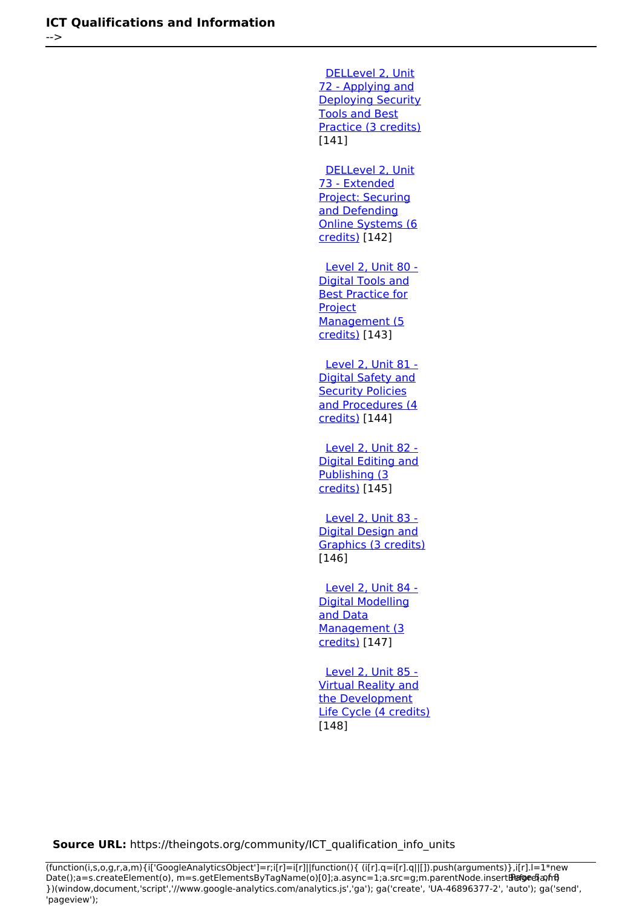[DELLevel 2, Unit](https://theingots.org/community/sil2u72) [72 - Applying and](https://theingots.org/community/sil2u72) [Deploying Security](https://theingots.org/community/sil2u72) [Tools and Best](https://theingots.org/community/sil2u72) [Practice \(3 credits\)](https://theingots.org/community/sil2u72) [141] [DELLevel 2, Unit](https://theingots.org/community/sil2u73) [73 - Extended](https://theingots.org/community/sil2u73) [Project: Securing](https://theingots.org/community/sil2u73) [and Defending](https://theingots.org/community/sil2u73) [Online Systems \(6](https://theingots.org/community/sil2u73) [credits\)](https://theingots.org/community/sil2u73) [142] [Level 2, Unit 80 -](https://theingots.org/community/sil2u80) [Digital Tools and](https://theingots.org/community/sil2u80) **[Best Practice for](https://theingots.org/community/sil2u80) [Project](https://theingots.org/community/sil2u80)** [Management \(5](https://theingots.org/community/sil2u80) [credits\)](https://theingots.org/community/sil2u80) [143] [Level 2, Unit 81 -](https://theingots.org/community/sil2u81) [Digital Safety and](https://theingots.org/community/sil2u81) **[Security Policies](https://theingots.org/community/sil2u81)** [and Procedures \(4](https://theingots.org/community/sil2u81) [credits\)](https://theingots.org/community/sil2u81) [144] [Level 2, Unit 82 -](https://theingots.org/community/sil2u82) [Digital Editing and](https://theingots.org/community/sil2u82) [Publishing \(3](https://theingots.org/community/sil2u82) [credits\)](https://theingots.org/community/sil2u82) [145] [Level 2, Unit 83 -](https://theingots.org/community/sil2u83) [Digital Design and](https://theingots.org/community/sil2u83) [Graphics \(3 credits\)](https://theingots.org/community/sil2u83) [146] [Level 2, Unit 84 -](https://theingots.org/community/sil2u84) [Digital Modelling](https://theingots.org/community/sil2u84) [and Data](https://theingots.org/community/sil2u84) [Management \(3](https://theingots.org/community/sil2u84) [credits\)](https://theingots.org/community/sil2u84) [147] [Level 2, Unit 85 -](https://theingots.org/community/sil2u85) [Virtual Reality and](https://theingots.org/community/sil2u85)

[the Development](https://theingots.org/community/sil2u85) [Life Cycle \(4 credits\)](https://theingots.org/community/sil2u85) [148]

**Source URL:** https://theingots.org/community/ICT\_qualification\_info\_units

(function(i,s,o,g,r,a,m){i['GoogleAnalyticsObject']=r;i[r]=i[r]||function(){ (i[r].q=i[r].q||[]).push(arguments)},i[r].l=1\*new Date();a=s.createElement(o), m=s.getElementsByTagName(o)[0];a.async=1;a.src=g;m.parentNode.insertBefore&a, })(window,document,'script','//www.google-analytics.com/analytics.js','ga'); ga('create', 'UA-46896377-2', 'auto'); ga('send', 'pageview');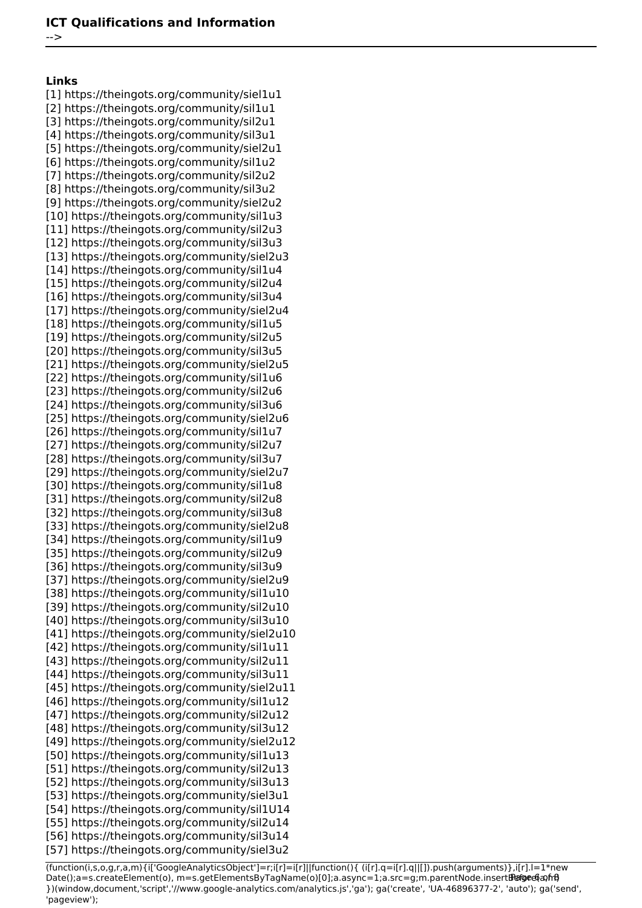-->

**Links** [1] https://theingots.org/community/siel1u1 [2] https://theingots.org/community/sil1u1 [3] https://theingots.org/community/sil2u1 [4] https://theingots.org/community/sil3u1 [5] https://theingots.org/community/siel2u1 [6] https://theingots.org/community/sil1u2 [7] https://theingots.org/community/sil2u2 [8] https://theingots.org/community/sil3u2 [9] https://theingots.org/community/siel2u2 [10] https://theingots.org/community/sil1u3 [11] https://theingots.org/community/sil2u3 [12] https://theingots.org/community/sil3u3 [13] https://theingots.org/community/siel2u3 [14] https://theingots.org/community/sil1u4 [15] https://theingots.org/community/sil2u4 [16] https://theingots.org/community/sil3u4 [17] https://theingots.org/community/siel2u4 [18] https://theingots.org/community/sil1u5 [19] https://theingots.org/community/sil2u5 [20] https://theingots.org/community/sil3u5 [21] https://theingots.org/community/siel2u5 [22] https://theingots.org/community/sil1u6 [23] https://theingots.org/community/sil2u6 [24] https://theingots.org/community/sil3u6 [25] https://theingots.org/community/siel2u6 [26] https://theingots.org/community/sil1u7 [27] https://theingots.org/community/sil2u7 [28] https://theingots.org/community/sil3u7 [29] https://theingots.org/community/siel2u7 [30] https://theingots.org/community/sil1u8 [31] https://theingots.org/community/sil2u8 [32] https://theingots.org/community/sil3u8 [33] https://theingots.org/community/siel2u8 [34] https://theingots.org/community/sil1u9 [35] https://theingots.org/community/sil2u9 [36] https://theingots.org/community/sil3u9 [37] https://theingots.org/community/siel2u9 [38] https://theingots.org/community/sil1u10 [39] https://theingots.org/community/sil2u10 [40] https://theingots.org/community/sil3u10 [41] https://theingots.org/community/siel2u10 [42] https://theingots.org/community/sil1u11 [43] https://theingots.org/community/sil2u11 [44] https://theingots.org/community/sil3u11 [45] https://theingots.org/community/siel2u11 [46] https://theingots.org/community/sil1u12 [47] https://theingots.org/community/sil2u12 [48] https://theingots.org/community/sil3u12 [49] https://theingots.org/community/siel2u12 [50] https://theingots.org/community/sil1u13 [51] https://theingots.org/community/sil2u13 [52] https://theingots.org/community/sil3u13 [53] https://theingots.org/community/siel3u1 [54] https://theingots.org/community/sil1U14 [55] https://theingots.org/community/sil2u14 [56] https://theingots.org/community/sil3u14 [57] https://theingots.org/community/siel3u2

(function(i,s,o,g,r,a,m){i['GoogleAnalyticsObject']=r;i[r]=i[r]||function(){ (i[r].q=i[r].q||[]).push(arguments)},i[r].l=1\*new Date();a=s.createElement(o), m=s.getElementsByTagName(o)[0];a.async=1;a.src=g;m.parentNode.insertBefore&aภfrអ៊ })(window,document,'script','//www.google-analytics.com/analytics.js','ga'); ga('create', 'UA-46896377-2', 'auto'); ga('send', 'pageview');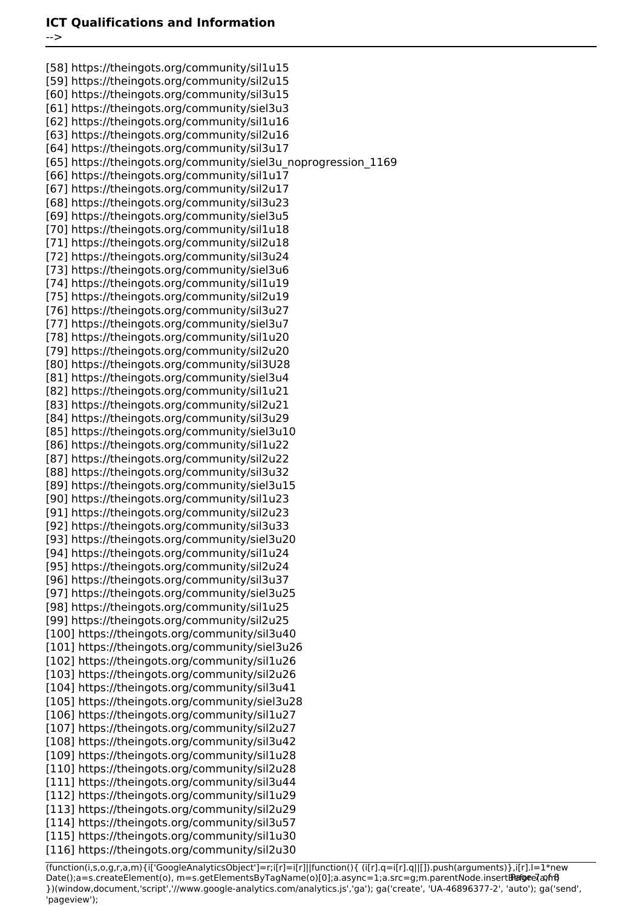#### **ICT Qualifications and Information**

-->

[58] https://theingots.org/community/sil1u15 [59] https://theingots.org/community/sil2u15 [60] https://theingots.org/community/sil3u15 [61] https://theingots.org/community/siel3u3 [62] https://theingots.org/community/sil1u16 [63] https://theingots.org/community/sil2u16 [64] https://theingots.org/community/sil3u17 [65] https://theingots.org/community/siel3u\_noprogression\_1169 [66] https://theingots.org/community/sil1u17 [67] https://theingots.org/community/sil2u17 [68] https://theingots.org/community/sil3u23 [69] https://theingots.org/community/siel3u5 [70] https://theingots.org/community/sil1u18 [71] https://theingots.org/community/sil2u18 [72] https://theingots.org/community/sil3u24 [73] https://theingots.org/community/siel3u6 [74] https://theingots.org/community/sil1u19 [75] https://theingots.org/community/sil2u19 [76] https://theingots.org/community/sil3u27 [77] https://theingots.org/community/siel3u7 [78] https://theingots.org/community/sil1u20 [79] https://theingots.org/community/sil2u20 [80] https://theingots.org/community/sil3U28 [81] https://theingots.org/community/siel3u4 [82] https://theingots.org/community/sil1u21 [83] https://theingots.org/community/sil2u21 [84] https://theingots.org/community/sil3u29 [85] https://theingots.org/community/siel3u10 [86] https://theingots.org/community/sil1u22 [87] https://theingots.org/community/sil2u22 [88] https://theingots.org/community/sil3u32 [89] https://theingots.org/community/siel3u15 [90] https://theingots.org/community/sil1u23 [91] https://theingots.org/community/sil2u23 [92] https://theingots.org/community/sil3u33 [93] https://theingots.org/community/siel3u20 [94] https://theingots.org/community/sil1u24 [95] https://theingots.org/community/sil2u24 [96] https://theingots.org/community/sil3u37 [97] https://theingots.org/community/siel3u25 [98] https://theingots.org/community/sil1u25 [99] https://theingots.org/community/sil2u25 [100] https://theingots.org/community/sil3u40 [101] https://theingots.org/community/siel3u26 [102] https://theingots.org/community/sil1u26 [103] https://theingots.org/community/sil2u26 [104] https://theingots.org/community/sil3u41 [105] https://theingots.org/community/siel3u28 [106] https://theingots.org/community/sil1u27 [107] https://theingots.org/community/sil2u27 [108] https://theingots.org/community/sil3u42 [109] https://theingots.org/community/sil1u28 [110] https://theingots.org/community/sil2u28 [111] https://theingots.org/community/sil3u44 [112] https://theingots.org/community/sil1u29 [113] https://theingots.org/community/sil2u29 [114] https://theingots.org/community/sil3u57 [115] https://theingots.org/community/sil1u30 [116] https://theingots.org/community/sil2u30

(function(i,s,o,g,r,a,m){i['GoogleAnalyticsObject']=r;i[r]=i[r]||function(){ (i[r].q=i[r].q||[]).push(arguments)},i[r].l=1\*new Date();a=s.createElement(o), m=s.getElementsByTagName(o)[0];a.async=1;a.src=g;m.parentNode.insertBහ@ec(a)frB })(window,document,'script','//www.google-analytics.com/analytics.js','ga'); ga('create', 'UA-46896377-2', 'auto'); ga('send', 'pageview');